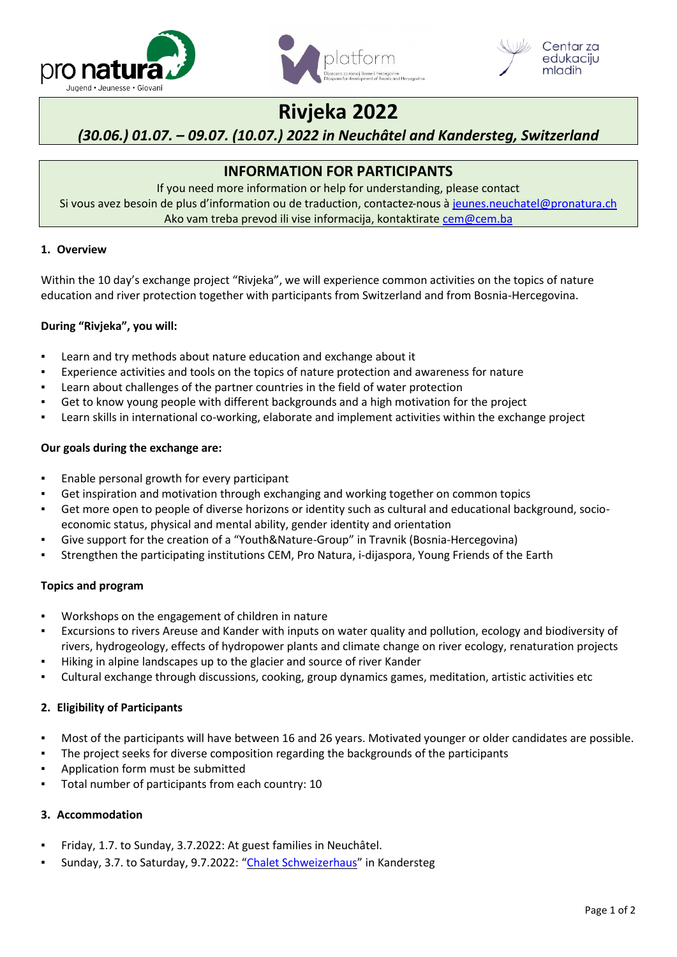





# **Rivjeka 2022**

# *(30.06.) 01.07. – 09.07. (10.07.) 2022 in Neuchâtel and Kandersteg, Switzerland*

# **INFORMATION FOR PARTICIPANTS**

If you need more information or help for understanding, please contact Si vous avez besoin de plus d'information ou de traduction, contactez-nous à [jeunes.neuchatel@pronatura.ch](mailto:jeunes.neuchatel@pronatura.ch) Ako vam treba prevod ili vise informacija, kontaktirate cem@cem.ba

### **1. Overview**

Within the 10 day's exchange project "Rivjeka", we will experience common activities on the topics of nature education and river protection together with participants from Switzerland and from Bosnia-Hercegovina.

# **During "Rivjeka", you will:**

- Learn and try methods about nature education and exchange about it
- Experience activities and tools on the topics of nature protection and awareness for nature
- Learn about challenges of the partner countries in the field of water protection
- Get to know young people with different backgrounds and a high motivation for the project
- Learn skills in international co-working, elaborate and implement activities within the exchange project

### **Our goals during the exchange are:**

- Enable personal growth for every participant
- Get inspiration and motivation through exchanging and working together on common topics
- Get more open to people of diverse horizons or identity such as cultural and educational background, socioeconomic status, physical and mental ability, gender identity and orientation
- Give support for the creation of a "Youth&Nature-Group" in Travnik (Bosnia-Hercegovina)
- Strengthen the participating institutions CEM, Pro Natura, i-dijaspora, Young Friends of the Earth

# **Topics and program**

- Workshops on the engagement of children in nature
- Excursions to rivers Areuse and Kander with inputs on water quality and pollution, ecology and biodiversity of rivers, hydrogeology, effects of hydropower plants and climate change on river ecology, renaturation projects
- Hiking in alpine landscapes up to the glacier and source of river Kander
- Cultural exchange through discussions, cooking, group dynamics games, meditation, artistic activities etc

# **2. Eligibility of Participants**

- Most of the participants will have between 16 and 26 years. Motivated younger or older candidates are possible.
- The project seeks for diverse composition regarding the backgrounds of the participants
- Application form must be submitted
- Total number of participants from each country: 10

#### **3. Accommodation**

- Friday, 1.7. to Sunday, 3.7.2022: At guest families in Neuchâtel.
- Sunday, 3.7. to Saturday, 9.7.2022: "[Chalet Schweizerhaus](https://www.chalet-schweizerhaus.ch/)" in Kandersteg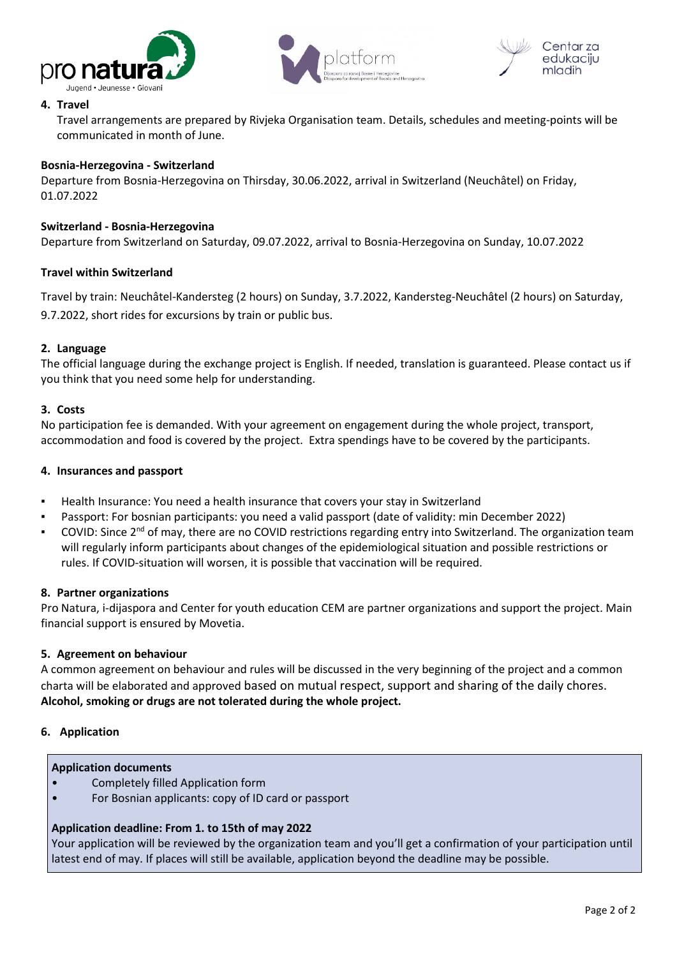





#### **4. Travel**

Travel arrangements are prepared by Rivjeka Organisation team. Details, schedules and meeting-points will be communicated in month of June.

#### **Bosnia-Herzegovina - Switzerland**

Departure from Bosnia-Herzegovina on Thirsday, 30.06.2022, arrival in Switzerland (Neuchâtel) on Friday, 01.07.2022

#### **Switzerland - Bosnia-Herzegovina**

Departure from Switzerland on Saturday, 09.07.2022, arrival to Bosnia-Herzegovina on Sunday, 10.07.2022

#### **Travel within Switzerland**

Travel by train: Neuchâtel-Kandersteg (2 hours) on Sunday, 3.7.2022, Kandersteg-Neuchâtel (2 hours) on Saturday, 9.7.2022, short rides for excursions by train or public bus.

#### **2. Language**

The official language during the exchange project is English. If needed, translation is guaranteed. Please contact us if you think that you need some help for understanding.

#### **3. Costs**

No participation fee is demanded. With your agreement on engagement during the whole project, transport, accommodation and food is covered by the project. Extra spendings have to be covered by the participants.

#### **4. Insurances and passport**

- Health Insurance: You need a health insurance that covers your stay in Switzerland
- Passport: For bosnian participants: you need a valid passport (date of validity: min December 2022)
- **•** COVID: Since 2<sup>nd</sup> of may, there are no COVID restrictions regarding entry into Switzerland. The organization team will regularly inform participants about changes of the epidemiological situation and possible restrictions or rules. If COVID-situation will worsen, it is possible that vaccination will be required.

#### **8. Partner organizations**

Pro Natura, i-dijaspora and Center for youth education CEM are partner organizations and support the project. Main financial support is ensured by Movetia.

#### **5. Agreement on behaviour**

A common agreement on behaviour and rules will be discussed in the very beginning of the project and a common charta will be elaborated and approved based on mutual respect, support and sharing of the daily chores. **Alcohol, smoking or drugs are not tolerated during the whole project.**

#### **6. Application**

#### **Application documents**

- Completely filled Application form
- For Bosnian applicants: copy of ID card or passport

#### **Application deadline: From 1. to 15th of may 2022**

Your application will be reviewed by the organization team and you'll get a confirmation of your participation until latest end of may. If places will still be available, application beyond the deadline may be possible.